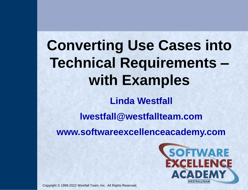# **Converting Use Cases into Technical Requirements – with Examples**

**Linda Westfall**

**lwestfall@westfallteam.com**

**www.softwareexcellenceacademy.com**



Copyright © 1999-2022 Westfall Team, Inc. All Rights Reserved.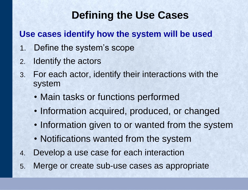## **Defining the Use Cases**

#### **Use cases identify how the system will be used**

- 1. Define the system's scope
- 2. Identify the actors
- 3. For each actor, identify their interactions with the system
	- Main tasks or functions performed
	- Information acquired, produced, or changed
	- Information given to or wanted from the system
	- Notifications wanted from the system
- 4. Develop a use case for each interaction
- 5. Merge or create sub-use cases as appropriate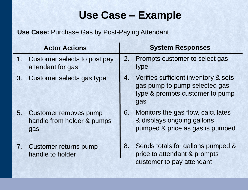## **Use Case – Example**

|         | <b>Actor Actions</b>                                              |                | <b>System Responses</b>                                                                                         |
|---------|-------------------------------------------------------------------|----------------|-----------------------------------------------------------------------------------------------------------------|
| $1_{-}$ | Customer selects to post pay<br>attendant for gas                 | 2.             | Prompts customer to select gas<br>type                                                                          |
| 3.      | Customer selects gas type                                         | 4.             | Verifies sufficient inventory & sets<br>gas pump to pump selected gas<br>type & prompts customer to pump<br>gas |
| 5.      | <b>Customer removes pump</b><br>handle from holder & pumps<br>gas | 6.             | Monitors the gas flow, calculates<br>& displays ongoing gallons<br>pumped & price as gas is pumped              |
| 7.      | Customer returns pump<br>handle to holder                         | 8 <sub>1</sub> | Sends totals for gallons pumped &<br>price to attendant & prompts<br>customer to pay attendant                  |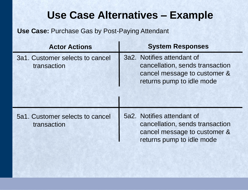### **Use Case Alternatives – Example**

| <b>Actor Actions</b>                           | <b>System Responses</b>                                                                                                    |
|------------------------------------------------|----------------------------------------------------------------------------------------------------------------------------|
| 3a1. Customer selects to cancel<br>transaction | 3a2. Notifies attendant of<br>cancellation, sends transaction<br>cancel message to customer &<br>returns pump to idle mode |
| 5a1. Customer selects to cancel<br>transaction | 5a2. Notifies attendant of<br>cancellation, sends transaction<br>cancel message to customer &<br>returns pump to idle mode |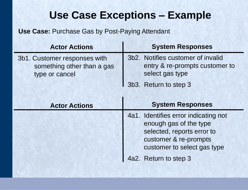## **Use Case Exceptions – Example**

| <b>Actor Actions</b>                                                         | <b>System Responses</b>                                                                |
|------------------------------------------------------------------------------|----------------------------------------------------------------------------------------|
| 3b1. Customer responses with<br>something other than a gas<br>type or cancel | 3b2. Notifies customer of invalid<br>entry & re-prompts customer to<br>select gas type |
|                                                                              | 1 3b3. Return to step 3                                                                |

| <b>Actor Actions</b> | <b>System Responses</b>                                                                                                                              |
|----------------------|------------------------------------------------------------------------------------------------------------------------------------------------------|
|                      | 4a1. Identifies error indicating not<br>enough gas of the type<br>selected, reports error to<br>customer & re-prompts<br>customer to select gas type |
|                      | 4a2. Return to step 3                                                                                                                                |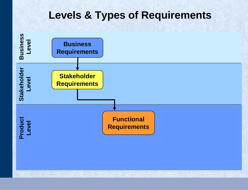#### **Levels & Types of Requirements**

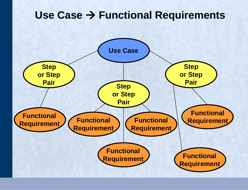#### Use Case → Functional Requirements

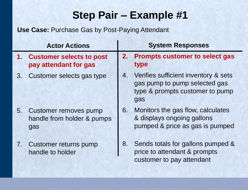|    | <b>Actor Actions</b>                                       |    | <b>System Responses</b>                                                                                         |
|----|------------------------------------------------------------|----|-----------------------------------------------------------------------------------------------------------------|
|    | 1. Customer selects to post<br>pay attendant for gas       |    | 2. Prompts customer to select gas<br>type                                                                       |
| 3. | Customer selects gas type                                  | 4. | Verifies sufficient inventory & sets<br>gas pump to pump selected gas<br>type & prompts customer to pump<br>gas |
| 5. | Customer removes pump<br>handle from holder & pumps<br>gas | 6. | Monitors the gas flow, calculates<br>& displays ongoing gallons<br>pumped & price as gas is pumped              |
|    | 7. Customer returns pump<br>handle to holder               | 8. | Sends totals for gallons pumped &<br>price to attendant & prompts<br>customer to pay attendant                  |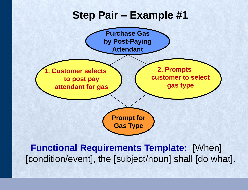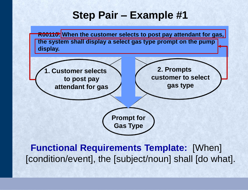**R00110:** When the customer selects to post pay attendant for gas, **by Post-Paying the system shall display a select gas type prompt on the pump display.**

**1. Customer selects to post pay attendant for gas**

**2. Prompts customer to select gas type**

**Prompt for Gas Type**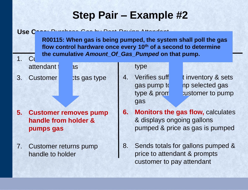**System Responses Actor Actions flow control hardware once every 10th of a second to determine**  1.  $\mathsf{C}^1$  and cumulative *rimount* of seas in unperformance pamp. **R00115: When gas is being pumped, the system shall poll the gas the cumulative** *Amount\_Of\_Gas\_Pumped* **on that pump.**

attendant  $\frac{1}{1}$  as

3. Customer ts gas type

Use Case: **Purchase Gas by Post-Paying Attendant** 

- **5. Customer removes pump handle from holder & pumps gas**
- 7. Customer returns pump handle to holder

#### type

4. Verifies suff tinventory & sets gas pump to pump to pump selected gas type  $\&$  prometries customer to pump gas

- **6. Monitors the gas flow,** calculates & displays ongoing gallons pumped & price as gas is pumped
- 8. Sends totals for gallons pumped & price to attendant & prompts customer to pay attendant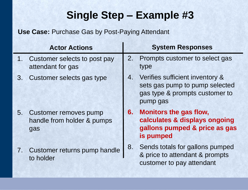|    | <b>Actor Actions</b>                                       |    | <b>System Responses</b>                                                                                            |
|----|------------------------------------------------------------|----|--------------------------------------------------------------------------------------------------------------------|
| 1. | Customer selects to post pay<br>attendant for gas          | 2. | Prompts customer to select gas<br>type                                                                             |
| 3. | Customer selects gas type                                  |    | 4. Verifies sufficient inventory &<br>sets gas pump to pump selected<br>gas type & prompts customer to<br>pump gas |
| 5. | Customer removes pump<br>handle from holder & pumps<br>gas |    | 6. Monitors the gas flow,<br>calculates & displays ongoing<br>gallons pumped & price as gas<br>is pumped           |
|    | 7. Customer returns pump handle<br>to holder               | 8. | Sends totals for gallons pumped<br>& price to attendant & prompts<br>customer to pay attendant                     |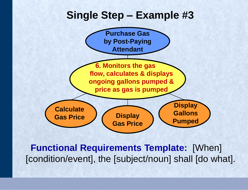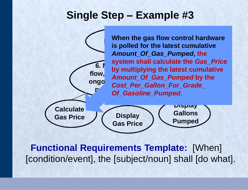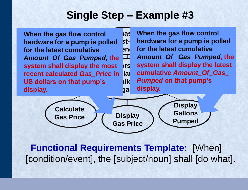**When the gas flow control hardware for a pump is polled for the latest cumulative**  S. *Amount\_Of\_Gas\_Pumped***, the system shall display the most ors** Systen **recent calculated** *Gas\_Price* **in US dollars on that pump's display.**

**flow, calculates & displays cumulative** *Amount\_Of\_Gas\_*  **ongoing gallons pumped &**  *Pumped* **on that pump's price as gas display. Purchase When the gas flow control** blled st- hardware for a pump is polled **EXECUTE: 12 THE STANDER FOR THE PROPERTY STANDANT PROPERTY** *Amount\_Of\_ Gas\_Pumped***, the system shall display the latest** 

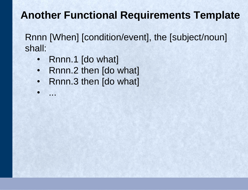## **Another Functional Requirements Template**

Rnnn [When] [condition/event], the [subject/noun] shall:

• Rnnn.1 [do what]

• ...

- Rnnn.2 then [do what]
- Rnnn.3 then [do what]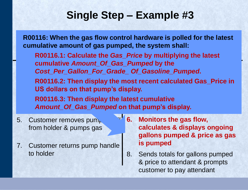**R00116: When the gas flow control hardware is polled for the latest cumulative amount of gas pumped, the system shall:**

**R00116.1: Calculate the** *Gas\_Price* **by multiplying the latest 1. Cumulative Amount\_Of\_Gas\_Pumped by the 2. Prompts cumulative Amount\_Of\_Gas\_Pumped by the 2. Prompts constant** Cost\_Per\_Gallon\_For\_Grade\_ Of\_Gasoline\_Pumped. 3. Customer selection of the selection of the selection of the selection of the selection of the selection of <br>3. Customer selection of the selection of the selection of the selection of the selection of the selection of ost recent calculated Gas\_Frict<br>where sets gas pump to pump to pump selected and the pump selected and the pump selected and the pump selected and the pump selected and the pump selected and the pump selected and the pump selected and the pump selected and the R00116.3: Then display the latest cumulative **R00116.3: Then display the latest cumulative** pump gas *Amount\_Of\_Gas\_Pumped* **on that pump's display.R00116.2: Then display the most recent calculated Gas\_Price in US dollars on that pump's display.**

- 5. Customer removes pum from holder & pumps gas
- 7. Customer returns pump handle to holder
- **6. Monitors the gas flow, calculates & displays ongoing gallons pumped & price as gas is pumped**
- 8. Sends totals for gallons pumped & price to attendant & prompts customer to pay attendant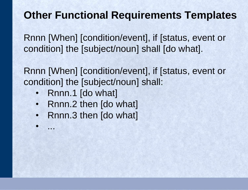### **Other Functional Requirements Templates**

Rnnn [When] [condition/event], if [status, event or condition] the [subject/noun] shall [do what].

Rnnn [When] [condition/event], if [status, event or condition] the [subject/noun] shall:

• Rnnn.1 [do what]

• ...

- Rnnn.2 then [do what]
- Rnnn.3 then [do what]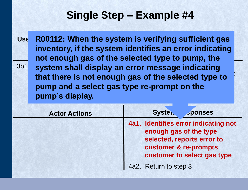anough ase of the selected type to numn th <sup>3b1</sup> system shall display an error message indicating something of the selected type to that there is not enqual associated the selected type to the control of selection for the selection of the selection of the selection of the selection of the selection of the selectio<br>External selection of the selection of the selection of the selection of the selection of the selection of the 3b3. Return to step 3 Use R00112: When the system is verifying sufficient gas **inventory, if the system identifies an error indicating not enough gas of the selected type to pump, the that there is not enough gas of the selected type to pump and a select gas type re-prompt on the pump's display.**

| <b>Actor Actions</b> | Systen.<br><b>sponses</b>                                                                                                                            |
|----------------------|------------------------------------------------------------------------------------------------------------------------------------------------------|
|                      | 4a1. Identifies error indicating not<br>enough gas of the type<br>selected, reports error to<br>customer & re-prompts<br>customer to select gas type |
|                      | 4a2. Return to step 3                                                                                                                                |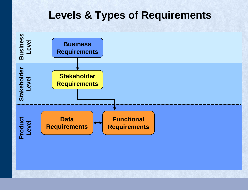#### **Levels & Types of Requirements**

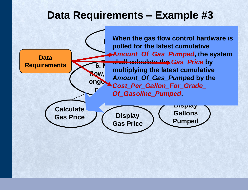#### **Data Requirements – Example #3**

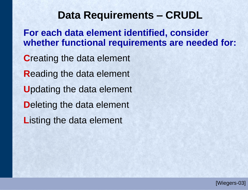#### **Data Requirements – CRUDL**

**For each data element identified, consider whether functional requirements are needed for:**

**C**reating the data element **R**eading the data element **U**pdating the data element **D**eleting the data element **L**isting the data element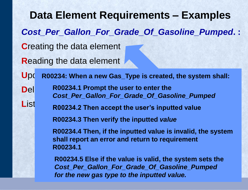**Data Element Requirements – Examples** *Cost\_Per\_Gallon\_For\_Grade\_Of\_Gasoline\_Pumped***. : C**reating the data element **R**eading the data element Upd R00234: When a new Gas\_Type is created, the system shall: **D**el R00234.1 Prompt the user to enter the List **Net Formulate 2 R00234.2 Then accept the user's inputted value** *Cost\_Per\_Gallon\_For\_Grade\_Of\_Gasoline\_Pumped* **R00234.3 Then verify the inputted** *value* **R00234.4 Then, if the inputted value is invalid, the system shall report an error and return to requirement R00234.1 R00234.5 Else if the value is valid, the system sets the** *Cost\_Per\_Gallon\_For\_Grade\_Of\_Gasoline\_Pumped for the new gas type to the inputted value.*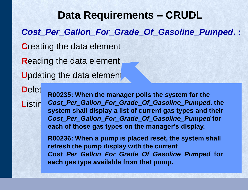**Data Requirements – CRUDL** *Cost\_Per\_Gallon\_For\_Grade\_Of\_Gasoline\_Pumped***. : C**reating the data element **R**eading the data element **U**pdating the data element

Delet<sub>poone</sub>, when the man

Listin Cost\_Per\_Gallon\_For\_Grade\_Of\_Gasoline\_Pumped, the **R00235: When the manager polls the system for the system shall display a list of current gas types and their**  *Cost\_Per\_Gallon\_For\_Grade\_Of\_Gasoline\_Pumped* **for each of those gas types on the manager's display.**

> **R00236: When a pump is placed reset, the system shall refresh the pump display with the current**  *Cost\_Per\_Gallon\_For\_Grade\_Of\_Gasoline\_Pumped* **for each gas type available from that pump.**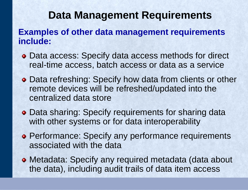#### **Data Management Requirements**

#### **Examples of other data management requirements include:**

- Data access: Specify data access methods for direct real-time access, batch access or data as a service
- Data refreshing: Specify how data from clients or other remote devices will be refreshed/updated into the centralized data store
- Data sharing: Specify requirements for sharing data with other systems or for data interoperability
- **Performance: Specify any performance requirements** associated with the data
- Metadata: Specify any required metadata (data about the data), including audit trails of data item access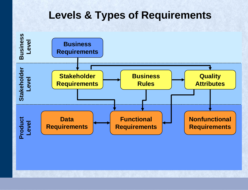#### **Levels & Types of Requirements**

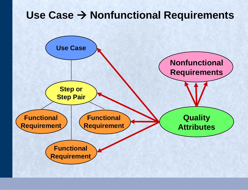#### **Use Case** → **Nonfunctional Requirements**

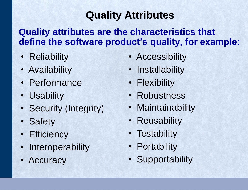## **Quality Attributes**

#### **Quality attributes are the characteristics that define the software product's quality, for example:**

- Reliability
- Availability
- Performance
- Usability
- Security (Integrity)
- Safety
- Efficiency
- Interoperability
- Accuracy
- Accessibility
- Installability
- Flexibility
- Robustness
- Maintainability
- Reusability
- Testability
- Portability
- Supportability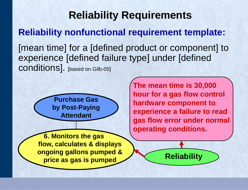## **Reliability Requirements Reliability nonfunctional requirement template:**  [mean time] for a [defined product or component] to experience [defined failure type] under [defined conditions]. [based on Gilb-05]

**Purchase Gas by Post-Paying Attendant**

**6. Monitors the gas flow, calculates & displays ongoing gallons pumped & price as gas is pumped**

**The mean time is 30,000 hour for a gas flow control hardware component to experience a failure to read gas flow error under normal operating conditions.**

**Reliability**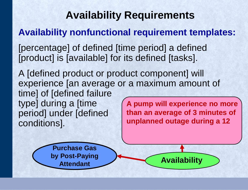## **Availability Requirements**

#### **Availability nonfunctional requirement templates:**

[percentage] of defined [time period] a defined [product] is [available] for its defined [tasks].

A [defined product or product component] will experience [an average or a maximum amount of time] of [defined failure type] during a [time period] under [defined conditions]. **A pump will experience no more than an average of 3 minutes of unplanned outage during a 12** 

**Availability**

**Purchase Gas by Post-Paying Attendant**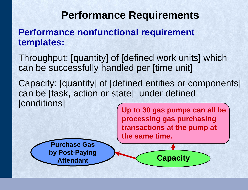#### **Performance Requirements**

**Performance nonfunctional requirement templates:** 

Throughput: [quantity] of [defined work units] which can be successfully handled per [time unit]

Capacity: [quantity] of [defined entities or components] can be [task, action or state] under defined [conditions]

**Up to 30 gas pumps can all be processing gas purchasing transactions at the pump at the same time.** 

**Capacity**

**Purchase Gas by Post-Paying Attendant**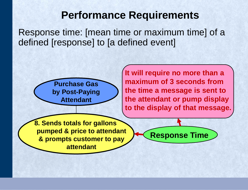#### **Performance Requirements**

Response time: [mean time or maximum time] of a defined [response] to [a defined event]



**It will require no more than a maximum of 3 seconds from the time a message is sent to the attendant or pump display to the display of that message.**

**Response Time**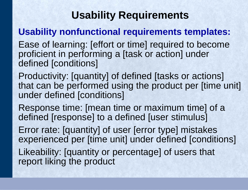## **Usability Requirements**

#### **Usability nonfunctional requirements templates:**

Ease of learning: [effort or time] required to become proficient in performing a [task or action] under defined [conditions]

Productivity: [quantity] of defined [tasks or actions] that can be performed using the product per [time unit] under defined [conditions]

Response time: [mean time or maximum time] of a defined [response] to a defined [user stimulus]

Error rate: [quantity] of user [error type] mistakes experienced per [time unit] under defined [conditions]

Likeability: [quantity or percentage] of users that report liking the product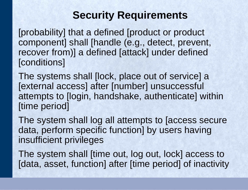#### **Security Requirements**

[probability] that a defined [product or product component] shall [handle (e.g., detect, prevent, recover from)] a defined [attack] under defined [conditions]

The systems shall [lock, place out of service] a [external access] after [number] unsuccessful attempts to [login, handshake, authenticate] within [time period]

The system shall log all attempts to [access secure data, perform specific function] by users having insufficient privileges

The system shall [time out, log out, lock] access to [data, asset, function] after [time period] of inactivity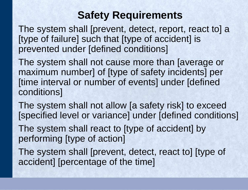#### **Safety Requirements**

The system shall [prevent, detect, report, react to] a [type of failure] such that [type of accident] is prevented under [defined conditions]

The system shall not cause more than [average or maximum number] of [type of safety incidents] per [time interval or number of events] under [defined conditions]

The system shall not allow [a safety risk] to exceed [specified level or variance] under [defined conditions]

The system shall react to [type of accident] by performing [type of action]

The system shall [prevent, detect, react to] [type of accident] [percentage of the time]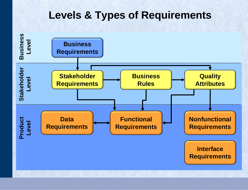#### **Levels & Types of Requirements**

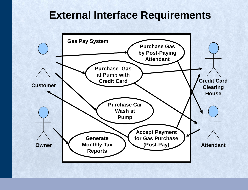#### **External Interface Requirements**

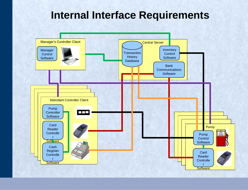#### **Internal Interface Requirements**

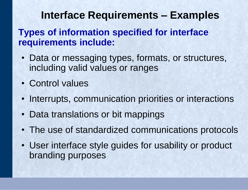#### **Interface Requirements – Examples**

#### **Types of information specified for interface requirements include:**

- Data or messaging types, formats, or structures, including valid values or ranges
- Control values
- Interrupts, communication priorities or interactions
- Data translations or bit mappings
- The use of standardized communications protocols
- User interface style guides for usability or product branding purposes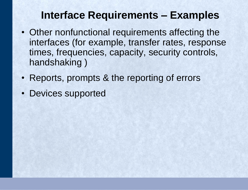#### **Interface Requirements – Examples**

- Other nonfunctional requirements affecting the interfaces (for example, transfer rates, response times, frequencies, capacity, security controls, handshaking )
- Reports, prompts & the reporting of errors
- Devices supported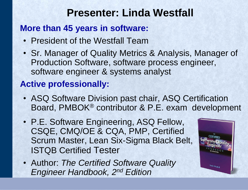#### **Presenter: Linda Westfall**

#### **More than 45 years in software:**

- President of the Westfall Team
- Sr. Manager of Quality Metrics & Analysis, Manager of Production Software, software process engineer, software engineer & systems analyst

#### **Active professionally:**

- ASQ Software Division past chair, ASQ Certification Board, PMBOK® contributor & P.E. exam development
- P.E. Software Engineering, ASQ Fellow, CSQE, CMQ/OE & CQA, PMP, Certified Scrum Master, Lean Six-Sigma Black Belt, ISTQB Certified Tester
- Author: *The Certified Software Quality Engineer Handbook, 2nd Edition*

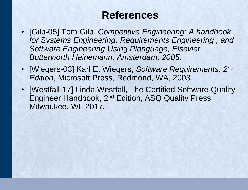#### **References**

- [Gilb-05] Tom Gilb, *Competitive Engineering: A handbook for Systems Engineering, Requirements Engineering , and Software Engineering Using Planguage, Elsevier Butterworth Heinemann, Amsterdam, 2005.*
- [Wiegers-03] Karl E. Wiegers, *Software Requirements, 2nd Edition*, Microsoft Press, Redmond, WA, 2003.
- [Westfall-17] Linda Westfall, The Certified Software Quality Engineer Handbook, 2nd Edition, ASQ Quality Press, Milwaukee, WI, 2017.